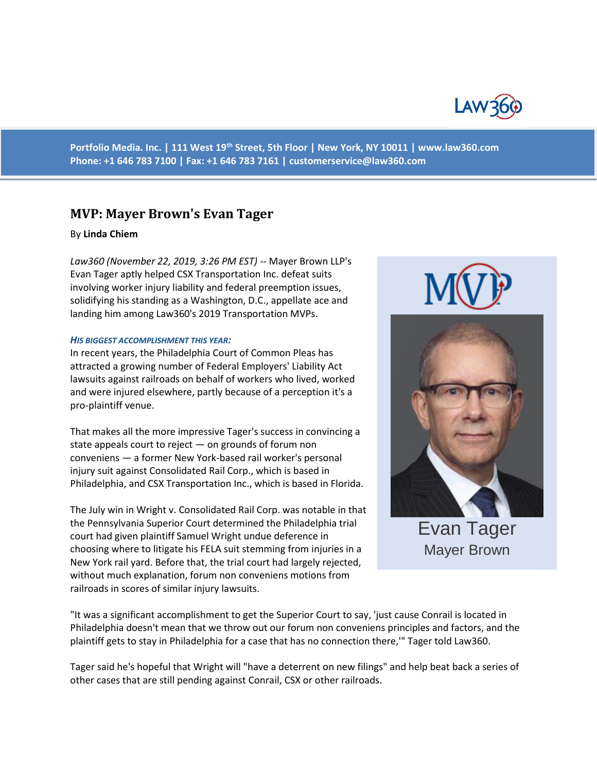

**Portfolio Media. Inc. | 111 West 19th Street, 5th Floor | New York, NY 10011 | www.law360.com Phone: +1 646 783 7100 | Fax: +1 646 783 7161 | [customerservice@law360.com](mailto:customerservice@law360.com)**

# **MVP: Mayer Brown's Evan Tager**

#### By **Linda Chiem**

*Law360 (November 22, 2019, 3:26 PM EST)* -- Mayer Brown LLP's Evan Tager aptly helped CSX Transportation Inc. defeat suits involving worker injury liability and federal preemption issues, solidifying his standing as a Washington, D.C., appellate ace and landing him among Law360's 2019 Transportation MVPs.

#### *HIS BIGGEST ACCOMPLISHMENT THIS YEAR:*

In recent years, the Philadelphia Court of Common Pleas has attracted a growing number of Federal Employers' Liability Act lawsuits against railroads on behalf of workers who lived, worked and were injured elsewhere, partly because of a perception it's a pro-plaintiff venue.

That makes all the more impressive Tager's success in convincing a state appeals court to reject — on grounds of forum non conveniens — a former New York-based rail worker's personal injury suit against Consolidated Rail Corp., which is based in Philadelphia, and CSX Transportation Inc., which is based in Florida.

The July win in Wright v. Consolidated Rail Corp. was notable in that the Pennsylvania Superior Court determined the Philadelphia trial court had given plaintiff Samuel Wright undue deference in choosing where to litigate his FELA suit stemming from injuries in a New York rail yard. Before that, the trial court had largely rejected, without much explanation, forum non conveniens motions from railroads in scores of similar injury lawsuits.





Mayer Brown

"It was a significant accomplishment to get the Superior Court to say, 'just cause Conrail is located in Philadelphia doesn't mean that we throw out our forum non conveniens principles and factors, and the plaintiff gets to stay in Philadelphia for a case that has no connection there,'" Tager told Law360.

Tager said he's hopeful that Wright will "have a deterrent on new filings" and help beat back a series of other cases that are still pending against Conrail, CSX or other railroads.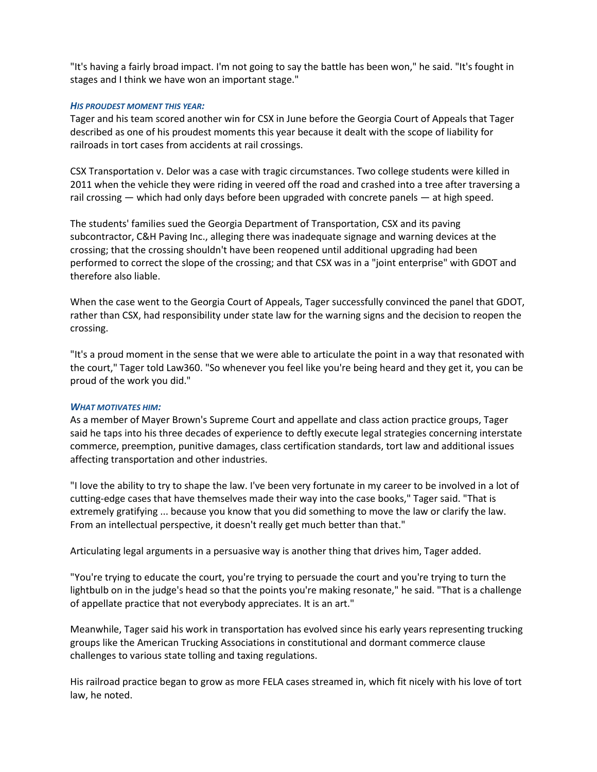"It's having a fairly broad impact. I'm not going to say the battle has been won," he said. "It's fought in stages and I think we have won an important stage."

#### *HIS PROUDEST MOMENT THIS YEAR:*

Tager and his team scored another win for CSX in June before the Georgia Court of Appeals that Tager described as one of his proudest moments this year because it dealt with the scope of liability for railroads in tort cases from accidents at rail crossings.

CSX Transportation v. Delor was a case with tragic circumstances. Two college students were killed in 2011 when the vehicle they were riding in veered off the road and crashed into a tree after traversing a rail crossing — which had only days before been upgraded with concrete panels — at high speed.

The students' families sued the Georgia Department of Transportation, CSX and its paving subcontractor, C&H Paving Inc., alleging there was inadequate signage and warning devices at the crossing; that the crossing shouldn't have been reopened until additional upgrading had been performed to correct the slope of the crossing; and that CSX was in a "joint enterprise" with GDOT and therefore also liable.

When the case went to the Georgia Court of Appeals, Tager successfully convinced the panel that GDOT, rather than CSX, had responsibility under state law for the warning signs and the decision to reopen the crossing.

"It's a proud moment in the sense that we were able to articulate the point in a way that resonated with the court," Tager told Law360. "So whenever you feel like you're being heard and they get it, you can be proud of the work you did."

## *WHAT MOTIVATES HIM:*

As a member of Mayer Brown's Supreme Court and appellate and class action practice groups, Tager said he taps into his three decades of experience to deftly execute legal strategies concerning interstate commerce, preemption, punitive damages, class certification standards, tort law and additional issues affecting transportation and other industries.

"I love the ability to try to shape the law. I've been very fortunate in my career to be involved in a lot of cutting-edge cases that have themselves made their way into the case books," Tager said. "That is extremely gratifying ... because you know that you did something to move the law or clarify the law. From an intellectual perspective, it doesn't really get much better than that."

Articulating legal arguments in a persuasive way is another thing that drives him, Tager added.

"You're trying to educate the court, you're trying to persuade the court and you're trying to turn the lightbulb on in the judge's head so that the points you're making resonate," he said. "That is a challenge of appellate practice that not everybody appreciates. It is an art."

Meanwhile, Tager said his work in transportation has evolved since his early years representing trucking groups like the American Trucking Associations in constitutional and dormant commerce clause challenges to various state tolling and taxing regulations.

His railroad practice began to grow as more FELA cases streamed in, which fit nicely with his love of tort law, he noted.